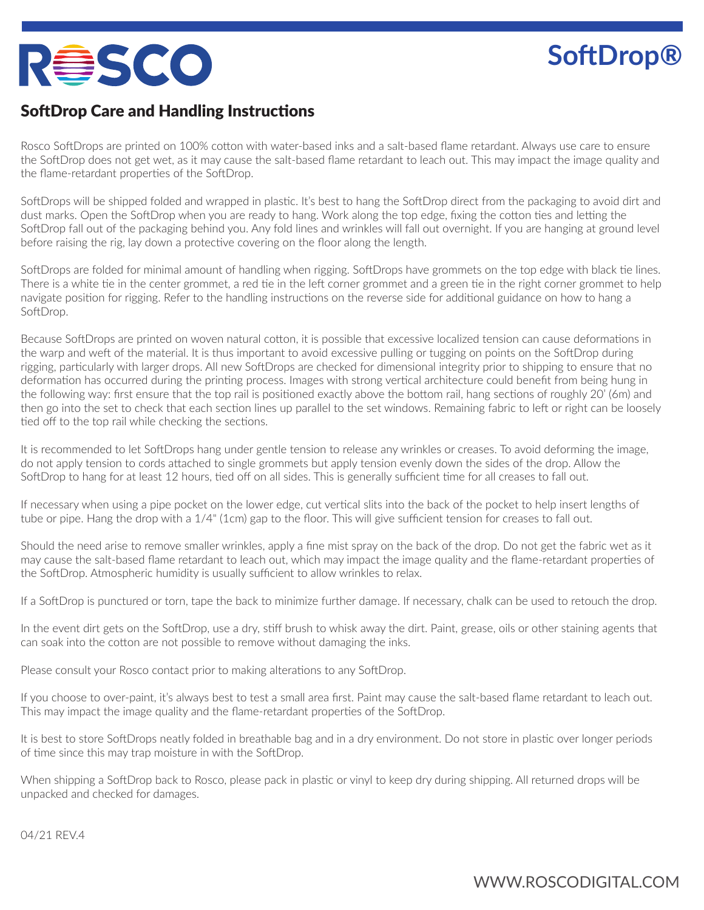## **RêSCO**

## **SoftDrop®**

## SoftDrop Care and Handling Instructions

Rosco SoftDrops are printed on 100% cotton with water-based inks and a salt-based flame retardant. Always use care to ensure the SoftDrop does not get wet, as it may cause the salt-based flame retardant to leach out. This may impact the image quality and the flame-retardant properties of the SoftDrop.

SoftDrops will be shipped folded and wrapped in plastic. It's best to hang the SoftDrop direct from the packaging to avoid dirt and dust marks. Open the SoftDrop when you are ready to hang. Work along the top edge, fixing the cotton ties and letting the SoftDrop fall out of the packaging behind you. Any fold lines and wrinkles will fall out overnight. If you are hanging at ground level before raising the rig, lay down a protective covering on the floor along the length.

SoftDrops are folded for minimal amount of handling when rigging. SoftDrops have grommets on the top edge with black tie lines. There is a white tie in the center grommet, a red tie in the left corner grommet and a green tie in the right corner grommet to help navigate position for rigging. Refer to the handling instructions on the reverse side for additional guidance on how to hang a SoftDrop.

Because SoftDrops are printed on woven natural cotton, it is possible that excessive localized tension can cause deformations in the warp and weft of the material. It is thus important to avoid excessive pulling or tugging on points on the SoftDrop during rigging, particularly with larger drops. All new SoftDrops are checked for dimensional integrity prior to shipping to ensure that no deformation has occurred during the printing process. Images with strong vertical architecture could benefit from being hung in the following way: first ensure that the top rail is positioned exactly above the bottom rail, hang sections of roughly 20' (6m) and then go into the set to check that each section lines up parallel to the set windows. Remaining fabric to left or right can be loosely tied off to the top rail while checking the sections.

It is recommended to let SoftDrops hang under gentle tension to release any wrinkles or creases. To avoid deforming the image, do not apply tension to cords attached to single grommets but apply tension evenly down the sides of the drop. Allow the SoftDrop to hang for at least 12 hours, tied off on all sides. This is generally sufficient time for all creases to fall out.

If necessary when using a pipe pocket on the lower edge, cut vertical slits into the back of the pocket to help insert lengths of tube or pipe. Hang the drop with a 1/4" (1cm) gap to the floor. This will give sufficient tension for creases to fall out.

Should the need arise to remove smaller wrinkles, apply a fine mist spray on the back of the drop. Do not get the fabric wet as it may cause the salt-based flame retardant to leach out, which may impact the image quality and the flame-retardant properties of the SoftDrop. Atmospheric humidity is usually sufficient to allow wrinkles to relax.

If a SoftDrop is punctured or torn, tape the back to minimize further damage. If necessary, chalk can be used to retouch the drop.

In the event dirt gets on the SoftDrop, use a dry, stiff brush to whisk away the dirt. Paint, grease, oils or other staining agents that can soak into the cotton are not possible to remove without damaging the inks.

Please consult your Rosco contact prior to making alterations to any SoftDrop.

If you choose to over-paint, it's always best to test a small area first. Paint may cause the salt-based flame retardant to leach out. This may impact the image quality and the flame-retardant properties of the SoftDrop.

It is best to store SoftDrops neatly folded in breathable bag and in a dry environment. Do not store in plastic over longer periods of time since this may trap moisture in with the SoftDrop.

When shipping a SoftDrop back to Rosco, please pack in plastic or vinyl to keep dry during shipping. All returned drops will be unpacked and checked for damages.

04/21 REV.4